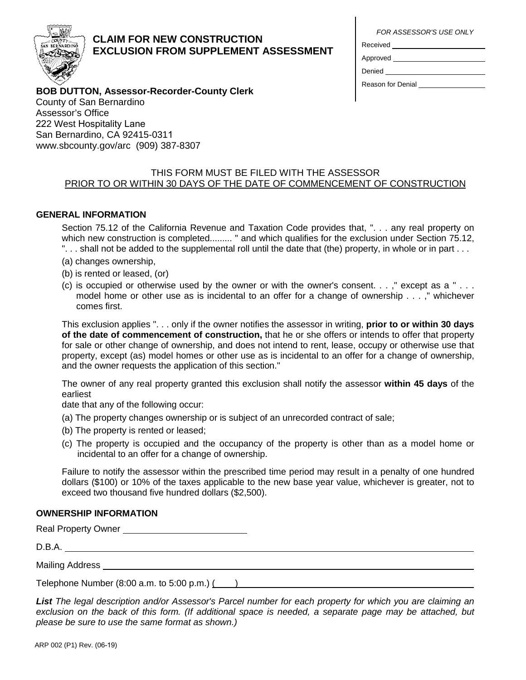

# **CLAIM FOR NEW CONSTRUCTION EXCLUSION FROM SUPPLEMENT ASSESSMENT**

*FOR ASSESSOR'S USE ONLY*

| Received |  |  |
|----------|--|--|
|          |  |  |

Approved

Denied

Reason for Denial \_\_\_\_\_\_\_\_\_\_\_\_

# **BOB DUTTON, Assessor-Recorder-County Clerk**

County of San Bernardino Assessor's Office 222 West Hospitality Lane San Bernardino, CA 92415-0311 www.sbcounty.gov/arc (909) 387-8307

## THIS FORM MUST BE FILED WITH THE ASSESSOR PRIOR TO OR WITHIN 30 DAYS OF THE DATE OF COMMENCEMENT OF CONSTRUCTION

## **GENERAL INFORMATION**

Section 75.12 of the California Revenue and Taxation Code provides that, ". . . any real property on which new construction is completed......... " and which qualifies for the exclusion under Section 75.12, "... shall not be added to the supplemental roll until the date that (the) property, in whole or in part  $\dots$ 

- (a) changes ownership,
- (b) is rented or leased, (or)
- (c) is occupied or otherwise used by the owner or with the owner's consent.  $\ldots$ ," except as a "... model home or other use as is incidental to an offer for a change of ownership . . . ," whichever comes first.

This exclusion applies ". . . only if the owner notifies the assessor in writing, **prior to or within 30 days of the date of commencement of construction,** that he or she offers or intends to offer that property for sale or other change of ownership, and does not intend to rent, lease, occupy or otherwise use that property, except (as) model homes or other use as is incidental to an offer for a change of ownership, and the owner requests the application of this section."

The owner of any real property granted this exclusion shall notify the assessor **within 45 days** of the earliest

date that any of the following occur:

- (a) The property changes ownership or is subject of an unrecorded contract of sale;
- (b) The property is rented or leased;
- (c) The property is occupied and the occupancy of the property is other than as a model home or incidental to an offer for a change of ownership.

Failure to notify the assessor within the prescribed time period may result in a penalty of one hundred dollars (\$100) or 10% of the taxes applicable to the new base year value, whichever is greater, not to exceed two thousand five hundred dollars (\$2,500).

## **OWNERSHIP INFORMATION**

Real Property Owner

D.B.A.

Mailing Address

Telephone Number  $(8:00 \text{ a.m. to } 5:00 \text{ p.m.})$   $($  )

*List The legal description and/or Assessor's Parcel number for each property for which you are claiming an exclusion on the back of this form. (If additional space is needed, a separate page may be attached, but please be sure to use the same format as shown.)*